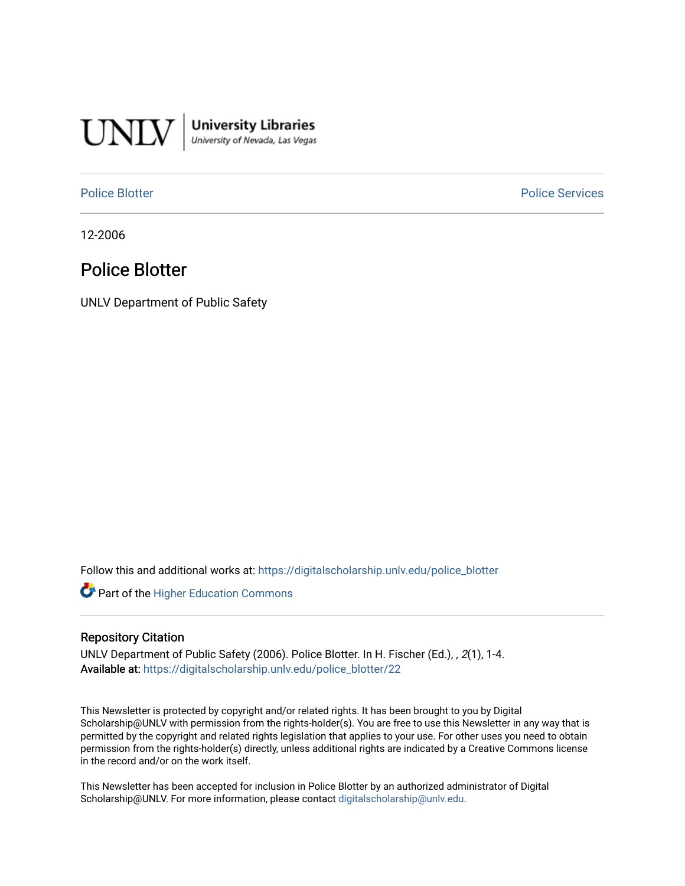

**University Libraries**<br>University of Nevada, Las Vegas

[Police Blotter](https://digitalscholarship.unlv.edu/police_blotter) **Police Services Police Services** 

12-2006

# Police Blotter

UNLV Department of Public Safety

Follow this and additional works at: [https://digitalscholarship.unlv.edu/police\\_blotter](https://digitalscholarship.unlv.edu/police_blotter?utm_source=digitalscholarship.unlv.edu%2Fpolice_blotter%2F22&utm_medium=PDF&utm_campaign=PDFCoverPages) 

**Part of the Higher Education Commons** 

## Repository Citation

UNLV Department of Public Safety (2006). Police Blotter. In H. Fischer (Ed.), , 2(1), 1-4. Available at: [https://digitalscholarship.unlv.edu/police\\_blotter/22](https://digitalscholarship.unlv.edu/police_blotter/22)

This Newsletter is protected by copyright and/or related rights. It has been brought to you by Digital Scholarship@UNLV with permission from the rights-holder(s). You are free to use this Newsletter in any way that is permitted by the copyright and related rights legislation that applies to your use. For other uses you need to obtain permission from the rights-holder(s) directly, unless additional rights are indicated by a Creative Commons license in the record and/or on the work itself.

This Newsletter has been accepted for inclusion in Police Blotter by an authorized administrator of Digital Scholarship@UNLV. For more information, please contact [digitalscholarship@unlv.edu.](mailto:digitalscholarship@unlv.edu)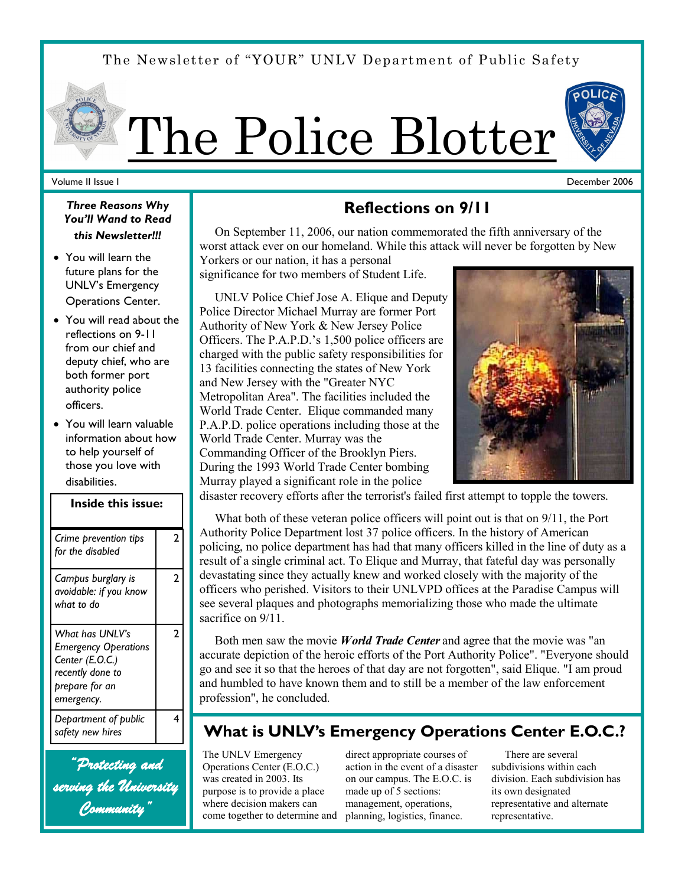The Newsletter of "YOUR" UNLV Department of Public Safety



## Volume II Issue I

*Three Reasons Why You'll Wand to Read this Newsletter!!!*

- You will learn the future plans for the UNLV's Emergency Operations Center.
- You will read about the reflections on 9-11 from our chief and deputy chief, who are both former port authority police officers.
- You will learn valuable information about how to help yourself of those you love with disabilities.

| <b>Inside this issue:</b>                                                                                             |   |
|-----------------------------------------------------------------------------------------------------------------------|---|
| Crime prevention tips<br>for the disabled                                                                             | 2 |
| Campus burglary is<br>avoidable: if you know<br>what to do                                                            | 2 |
| What has UNLV's<br><b>Emergency Operations</b><br>Center (E.O.C.)<br>recently done to<br>prepare for an<br>emergency. | 2 |
| Department of public<br>safety new hires                                                                              | 4 |

*"Protecting and serving the University Community"* 

# **Reflections on 9/11**

 On September 11, 2006, our nation commemorated the fifth anniversary of the worst attack ever on our homeland. While this attack will never be forgotten by New

Yorkers or our nation, it has a personal significance for two members of Student Life.

 UNLV Police Chief Jose A. Elique and Deputy Police Director Michael Murray are former Port Authority of New York & New Jersey Police Officers. The P.A.P.D.'s 1,500 police officers are charged with the public safety responsibilities for 13 facilities connecting the states of New York and New Jersey with the "Greater NYC Metropolitan Area". The facilities included the World Trade Center. Elique commanded many P.A.P.D. police operations including those at the World Trade Center. Murray was the Commanding Officer of the Brooklyn Piers. During the 1993 World Trade Center bombing Murray played a significant role in the police



disaster recovery efforts after the terrorist's failed first attempt to topple the towers.

 What both of these veteran police officers will point out is that on 9/11, the Port Authority Police Department lost 37 police officers. In the history of American policing, no police department has had that many officers killed in the line of duty as a result of a single criminal act. To Elique and Murray, that fateful day was personally devastating since they actually knew and worked closely with the majority of the officers who perished. Visitors to their UNLVPD offices at the Paradise Campus will see several plaques and photographs memorializing those who made the ultimate sacrifice on  $9/11$ .

 Both men saw the movie *World Trade Center* and agree that the movie was "an accurate depiction of the heroic efforts of the Port Authority Police". "Everyone should go and see it so that the heroes of that day are not forgotten", said Elique. "I am proud and humbled to have known them and to still be a member of the law enforcement profession", he concluded.

# **What is UNLV's Emergency Operations Center E.O.C.?**

The UNLV Emergency Operations Center (E.O.C.) was created in 2003. Its purpose is to provide a place where decision makers can come together to determine and

direct appropriate courses of action in the event of a disaster on our campus. The E.O.C. is made up of 5 sections: management, operations, planning, logistics, finance.

 There are several subdivisions within each division. Each subdivision has its own designated representative and alternate representative.



December 2006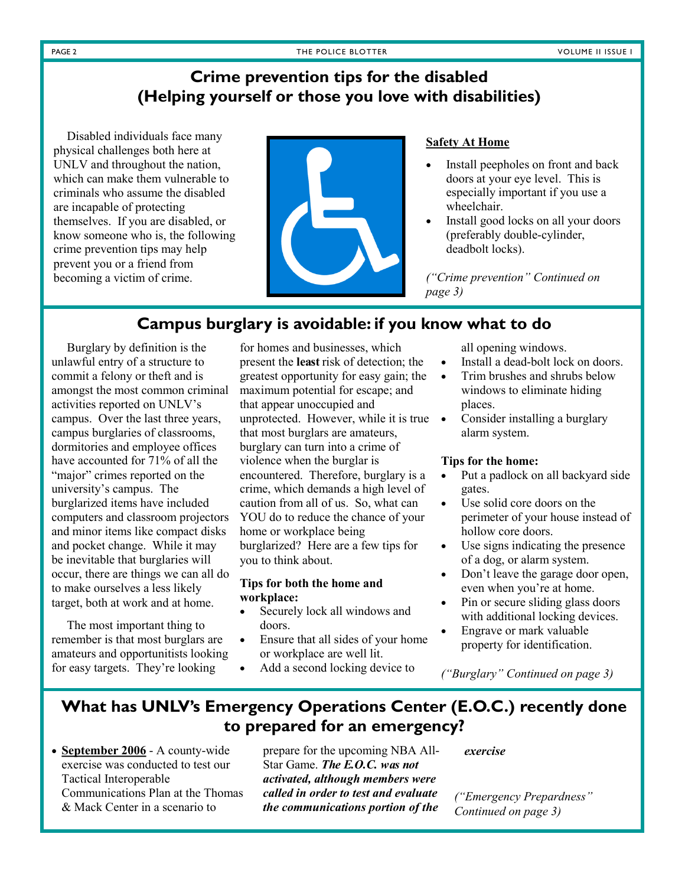# **Crime prevention tips for the disabled (Helping yourself or those you love with disabilities)**

 Disabled individuals face many physical challenges both here at UNLV and throughout the nation, which can make them vulnerable to criminals who assume the disabled are incapable of protecting themselves. If you are disabled, or know someone who is, the following crime prevention tips may help prevent you or a friend from becoming a victim of crime.



# **Safety At Home**

- Install peepholes on front and back doors at your eye level. This is especially important if you use a wheelchair.
- Install good locks on all your doors (preferably double-cylinder, deadbolt locks).

*("Crime prevention" Continued on page 3)*

# **Campus burglary is avoidable: if you know what to do**

 Burglary by definition is the unlawful entry of a structure to commit a felony or theft and is amongst the most common criminal activities reported on UNLV's campus. Over the last three years, campus burglaries of classrooms, dormitories and employee offices have accounted for 71% of all the "major" crimes reported on the university's campus. The burglarized items have included computers and classroom projectors and minor items like compact disks and pocket change. While it may be inevitable that burglaries will occur, there are things we can all do to make ourselves a less likely target, both at work and at home.

 The most important thing to remember is that most burglars are amateurs and opportunitists looking for easy targets. They're looking

for homes and businesses, which present the **least** risk of detection; the greatest opportunity for easy gain; the maximum potential for escape; and that appear unoccupied and unprotected. However, while it is true that most burglars are amateurs, burglary can turn into a crime of violence when the burglar is encountered. Therefore, burglary is a crime, which demands a high level of caution from all of us. So, what can YOU do to reduce the chance of your home or workplace being burglarized? Here are a few tips for you to think about.

## **Tips for both the home and workplace:**

- Securely lock all windows and doors.
- Ensure that all sides of your home or workplace are well lit.
- Add a second locking device to

all opening windows.

- Install a dead-bolt lock on doors.
- Trim brushes and shrubs below windows to eliminate hiding places.
- Consider installing a burglary alarm system.

## **Tips for the home:**

- Put a padlock on all backyard side gates.
- Use solid core doors on the perimeter of your house instead of hollow core doors.
- Use signs indicating the presence of a dog, or alarm system.
- Don't leave the garage door open, even when you're at home.
- Pin or secure sliding glass doors with additional locking devices.
- Engrave or mark valuable property for identification.

*("Burglary" Continued on page 3)*

# **What has UNLV's Emergency Operations Center (E.O.C.) recently done to prepared for an emergency?**

• **September 2006** - A county-wide exercise was conducted to test our Tactical Interoperable Communications Plan at the Thomas & Mack Center in a scenario to

prepare for the upcoming NBA All-Star Game. *The E.O.C. was not activated, although members were called in order to test and evaluate the communications portion of the* 

*exercise*

*("Emergency Prepardness" Continued on page 3)*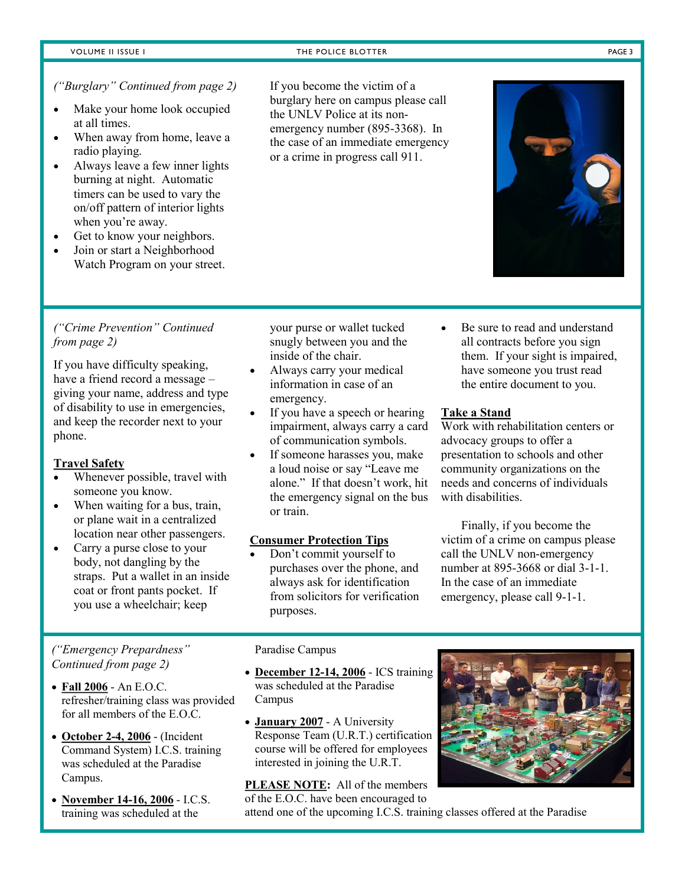### VOLUME II ISSUE I THE POLICE BLOTTER **THE POLICE BLOTTER THE POLICE BLOTTER THE POLICE BLOTTER**

# *("Burglary" Continued from page 2)*

- Make your home look occupied at all times.
- When away from home, leave a radio playing.
- Always leave a few inner lights burning at night. Automatic timers can be used to vary the on/off pattern of interior lights when you're away.
- Get to know your neighbors.
- Join or start a Neighborhood Watch Program on your street.

If you become the victim of a burglary here on campus please call the UNLV Police at its nonemergency number (895-3368). In the case of an immediate emergency or a crime in progress call 911.

# *("Crime Prevention" Continued from page 2)*

If you have difficulty speaking, have a friend record a message – giving your name, address and type of disability to use in emergencies, and keep the recorder next to your phone.

# **Travel Safety**

- Whenever possible, travel with someone you know.
- When waiting for a bus, train, or plane wait in a centralized location near other passengers.
- Carry a purse close to your body, not dangling by the straps. Put a wallet in an inside coat or front pants pocket. If you use a wheelchair; keep

# *("Emergency Prepardness" Continued from page 2)*

- **Fall 2006** An E.O.C. refresher/training class was provided for all members of the E.O.C.
- **October 2-4, 2006** (Incident Command System) I.C.S. training was scheduled at the Paradise Campus.
- **November 14-16, 2006** I.C.S. training was scheduled at the

your purse or wallet tucked snugly between you and the inside of the chair.

- Always carry your medical information in case of an emergency.
- If you have a speech or hearing impairment, always carry a card of communication symbols.
- If someone harasses you, make a loud noise or say "Leave me alone." If that doesn't work, hit the emergency signal on the bus or train.

## **Consumer Protection Tips**

 Don't commit yourself to purchases over the phone, and always ask for identification from solicitors for verification purposes.

 Be sure to read and understand all contracts before you sign them. If your sight is impaired, have someone you trust read the entire document to you.

# **Take a Stand**

Work with rehabilitation centers or advocacy groups to offer a presentation to schools and other community organizations on the needs and concerns of individuals with disabilities.

Finally, if you become the victim of a crime on campus please call the UNLV non-emergency number at 895-3668 or dial 3-1-1. In the case of an immediate emergency, please call 9-1-1.

### Paradise Campus

- **December 12-14, 2006** ICS training was scheduled at the Paradise Campus
- **January 2007** A University Response Team (U.R.T.) certification course will be offered for employees interested in joining the U.R.T.

**PLEASE NOTE:** All of the members of the E.O.C. have been encouraged to



attend one of the upcoming I.C.S. training classes offered at the Paradise